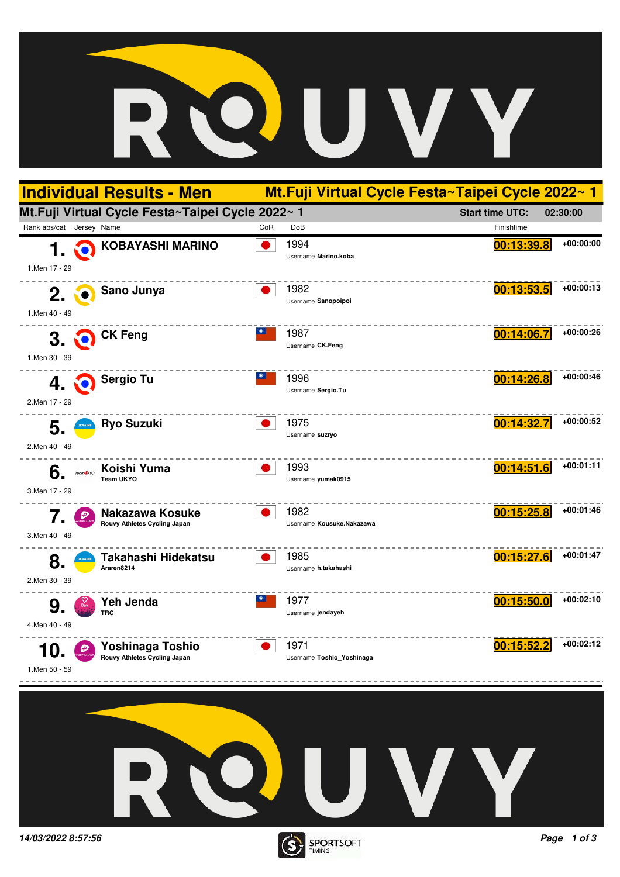



**14/03/2022 8:57:56 Page 1 of 3**

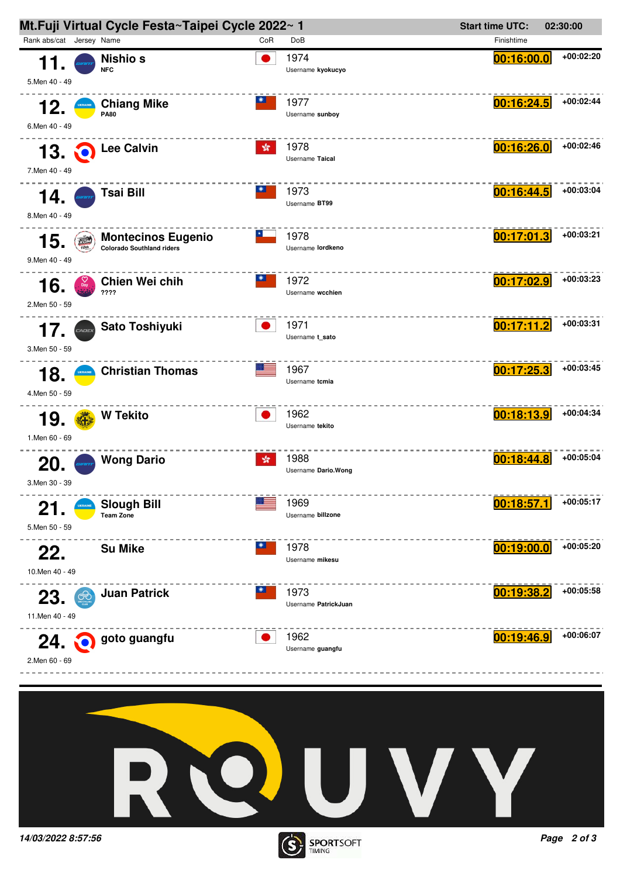